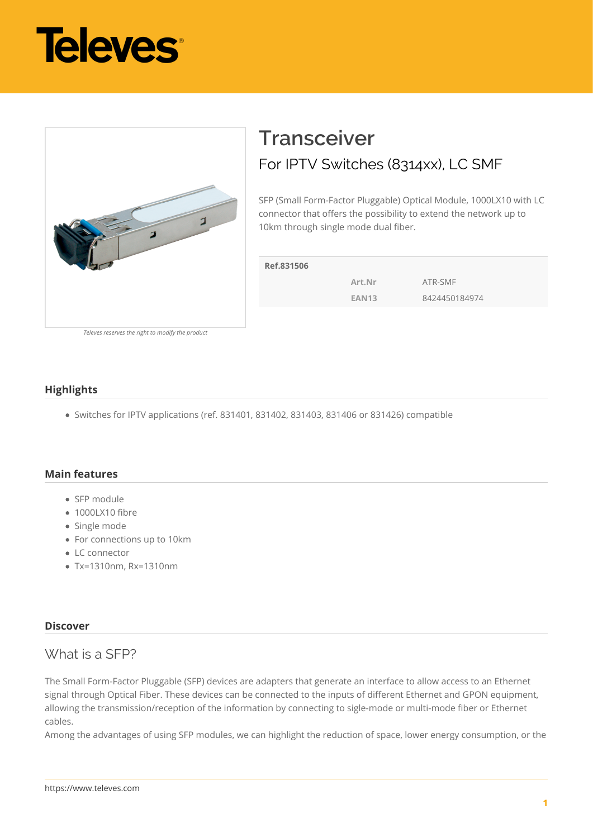



# **Transceiver** For IPTV Switches (8314xx), LC SMF

SFP (Small Form-Factor Pluggable) Optical Module, 1000LX10 with LC connector that offers the possibility to extend the network up to 10km through single mode dual fiber.

| Ref.831506 |              |               |
|------------|--------------|---------------|
|            | Art.Nr       | ATR-SMF       |
|            | <b>EAN13</b> | 8424450184974 |
|            |              |               |

*Televes reserves the right to modify the product*

#### **Highlights**

Switches for IPTV applications (ref. 831401, 831402, 831403, 831406 or 831426) compatible

#### **Main features**

- SFP module
- 1000LX10 fibre
- Single mode
- For connections up to 10km
- LC connector
- Tx=1310nm, Rx=1310nm

#### **Discover**

### What is a SFP?

The Small Form-Factor Pluggable (SFP) devices are adapters that generate an interface to allow access to an Ethernet signal through Optical Fiber. These devices can be connected to the inputs of different Ethernet and GPON equipment, allowing the transmission/reception of the information by connecting to sigle-mode or multi-mode fiber or Ethernet cables.

Among the advantages of using SFP modules, we can highlight the reduction of space, lower energy consumption, or the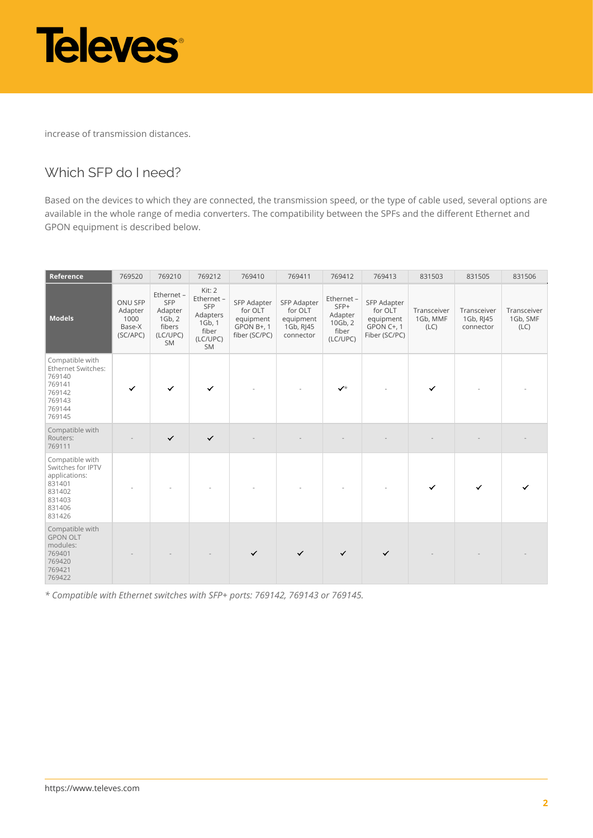

increase of transmission distances.

## Which SFP do I need?

Based on the devices to which they are connected, the transmission speed, or the type of cable used, several options are available in the whole range of media converters. The compatibility between the SPFs and the different Ethernet and GPON equipment is described below.

| Reference                                                                                               | 769520                                           | 769210                                                             | 769212                                                                       | 769410                                                             | 769411                                                        | 769412                                                        | 769413                                                             | 831503                          | 831505                                | 831506                          |
|---------------------------------------------------------------------------------------------------------|--------------------------------------------------|--------------------------------------------------------------------|------------------------------------------------------------------------------|--------------------------------------------------------------------|---------------------------------------------------------------|---------------------------------------------------------------|--------------------------------------------------------------------|---------------------------------|---------------------------------------|---------------------------------|
| <b>Models</b>                                                                                           | ONU SFP<br>Adapter<br>1000<br>Base-X<br>(SC/APC) | Ethernet -<br>SFP<br>Adapter<br>1Gb, 2<br>fibers<br>(LC/UPC)<br>SM | Kit: 2<br>Ethernet -<br>SFP<br>Adapters<br>1Gb, 1<br>fiber<br>(LC/UPC)<br>SM | SFP Adapter<br>for OLT<br>equipment<br>GPON B+, 1<br>fiber (SC/PC) | SFP Adapter<br>for OLT<br>equipment<br>1Gb, RJ45<br>connector | Ethernet -<br>SFP+<br>Adapter<br>10Gb, 2<br>fiber<br>(LC/UPC) | SFP Adapter<br>for OLT<br>equipment<br>GPON C+, 1<br>Fiber (SC/PC) | Transceiver<br>1Gb, MMF<br>(LC) | Transceiver<br>1Gb, RJ45<br>connector | Transceiver<br>1Gb, SMF<br>(LC) |
| Compatible with<br>Ethernet Switches:<br>769140<br>769141<br>769142<br>769143<br>769144<br>769145       | $\checkmark$                                     | $\checkmark$                                                       | $\checkmark$                                                                 |                                                                    |                                                               | $\checkmark$                                                  |                                                                    | $\checkmark$                    |                                       |                                 |
| Compatible with<br>Routers:<br>769111                                                                   |                                                  | $\checkmark$                                                       | $\checkmark$                                                                 |                                                                    |                                                               |                                                               |                                                                    |                                 |                                       |                                 |
| Compatible with<br>Switches for IPTV<br>applications:<br>831401<br>831402<br>831403<br>831406<br>831426 |                                                  |                                                                    |                                                                              |                                                                    |                                                               |                                                               |                                                                    | $\checkmark$                    | ✓                                     |                                 |
| Compatible with<br><b>GPON OLT</b><br>modules:<br>769401<br>769420<br>769421<br>769422                  |                                                  |                                                                    |                                                                              | $\checkmark$                                                       | $\checkmark$                                                  | $\checkmark$                                                  | $\checkmark$                                                       |                                 |                                       |                                 |

*\* Compatible with Ethernet switches with SFP+ ports: 769142, 769143 or 769145.*